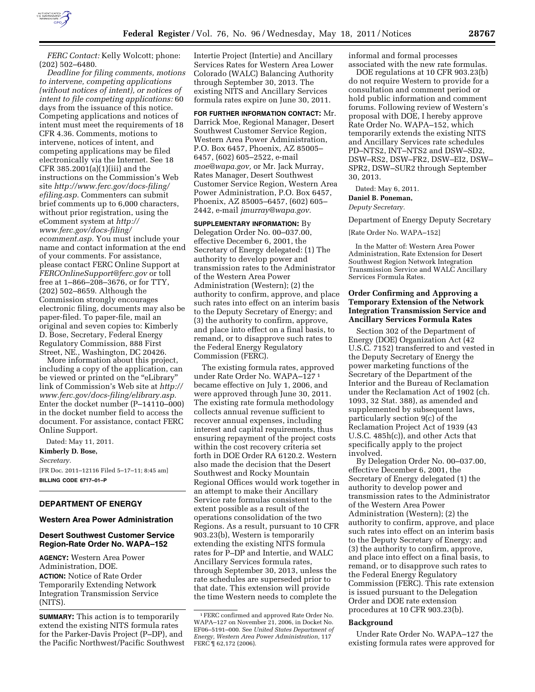

*FERC Contact:* Kelly Wolcott; phone: (202) 502–6480.

*Deadline for filing comments, motions to intervene, competing applications (without notices of intent), or notices of intent to file competing applications:* 60 days from the issuance of this notice. Competing applications and notices of intent must meet the requirements of 18 CFR 4.36. Comments, motions to intervene, notices of intent, and competing applications may be filed electronically via the Internet. See 18 CFR 385.2001(a)(1)(iii) and the instructions on the Commission's Web site *[http://www.ferc.gov/docs-filing/](http://www.ferc.gov/docs-filing/efiling.asp) [efiling.asp.](http://www.ferc.gov/docs-filing/efiling.asp)* Commenters can submit brief comments up to 6,000 characters, without prior registration, using the eComment system at *[http://](http://www.ferc.gov/docs-filing/ecomment.asp) [www.ferc.gov/docs-filing/](http://www.ferc.gov/docs-filing/ecomment.asp) [ecomment.asp.](http://www.ferc.gov/docs-filing/ecomment.asp)* You must include your name and contact information at the end of your comments. For assistance, please contact FERC Online Support at *[FERCOnlineSupport@ferc.gov](mailto:FERCOnlineSupport@ferc.gov)* or toll free at 1–866–208–3676, or for TTY, (202) 502–8659. Although the Commission strongly encourages electronic filing, documents may also be paper-filed. To paper-file, mail an original and seven copies to: Kimberly D. Bose, Secretary, Federal Energy Regulatory Commission, 888 First Street, NE., Washington, DC 20426.

More information about this project, including a copy of the application, can be viewed or printed on the "eLibrary" link of Commission's Web site at *[http://](http://www.ferc.gov/docs-filing/elibrary.asp) [www.ferc.gov/docs-filing/elibrary.asp.](http://www.ferc.gov/docs-filing/elibrary.asp)*  Enter the docket number (P–14110–000) in the docket number field to access the document. For assistance, contact FERC Online Support.

Dated: May 11, 2011. **Kimberly D. Bose,**  *Secretary.*  [FR Doc. 2011–12116 Filed 5–17–11; 8:45 am] **BILLING CODE 6717–01–P** 

# **DEPARTMENT OF ENERGY**

**Western Area Power Administration** 

### **Desert Southwest Customer Service Region-Rate Order No. WAPA–152**

**AGENCY:** Western Area Power Administration, DOE. **ACTION:** Notice of Rate Order Temporarily Extending Network Integration Transmission Service (NITS).

**SUMMARY:** This action is to temporarily extend the existing NITS formula rates for the Parker-Davis Project (P–DP), and the Pacific Northwest/Pacific Southwest

Intertie Project (Intertie) and Ancillary Services Rates for Western Area Lower Colorado (WALC) Balancing Authority through September 30, 2013. The existing NITS and Ancillary Services formula rates expire on June 30, 2011.

**FOR FURTHER INFORMATION CONTACT:** Mr. Darrick Moe, Regional Manager, Desert Southwest Customer Service Region, Western Area Power Administration, P.O. Box 6457, Phoenix, AZ 85005– 6457, (602) 605–2522, e-mail *[moe@wapa.gov,](mailto:moe@wapa.gov)* or Mr. Jack Murray, Rates Manager, Desert Southwest Customer Service Region, Western Area Power Administration, P.O. Box 6457, Phoenix, AZ 85005–6457, (602) 605– 2442, e-mail *[jmurray@wapa.gov.](mailto:jmurray@wapa.gov)* 

**SUPPLEMENTARY INFORMATION:** By Delegation Order No. 00–037.00, effective December 6, 2001, the Secretary of Energy delegated: (1) The authority to develop power and transmission rates to the Administrator of the Western Area Power Administration (Western); (2) the authority to confirm, approve, and place such rates into effect on an interim basis to the Deputy Secretary of Energy; and (3) the authority to confirm, approve, and place into effect on a final basis, to remand, or to disapprove such rates to the Federal Energy Regulatory Commission (FERC).

The existing formula rates, approved under Rate Order No. WAPA–127 1 became effective on July 1, 2006, and were approved through June 30, 2011. The existing rate formula methodology collects annual revenue sufficient to recover annual expenses, including interest and capital requirements, thus ensuring repayment of the project costs within the cost recovery criteria set forth in DOE Order RA 6120.2. Western also made the decision that the Desert Southwest and Rocky Mountain Regional Offices would work together in an attempt to make their Ancillary Service rate formulas consistent to the extent possible as a result of the operations consolidation of the two Regions. As a result, pursuant to 10 CFR 903.23(b), Western is temporarily extending the existing NITS formula rates for P–DP and Intertie, and WALC Ancillary Services formula rates, through September 30, 2013, unless the rate schedules are superseded prior to that date. This extension will provide the time Western needs to complete the

informal and formal processes associated with the new rate formulas.

DOE regulations at 10 CFR 903.23(b) do not require Western to provide for a consultation and comment period or hold public information and comment forums. Following review of Western's proposal with DOE, I hereby approve Rate Order No. WAPA–152, which temporarily extends the existing NITS and Ancillary Services rate schedules PD–NTS2, INT–NTS2 and DSW–SD2, DSW–RS2, DSW–FR2, DSW–EI2, DSW– SPR2, DSW–SUR2 through September 30, 2013.

Dated: May 6, 2011.

### **Daniel B. Poneman,**  *Deputy Secretary.*

Department of Energy Deputy Secretary

[Rate Order No. WAPA–152]

In the Matter of: Western Area Power Administration, Rate Extension for Desert Southwest Region Network Integration Transmission Service and WALC Ancillary Services Formula Rates.

### **Order Confirming and Approving a Temporary Extension of the Network Integration Transmission Service and Ancillary Services Formula Rates**

Section 302 of the Department of Energy (DOE) Organization Act (42 U.S.C. 7152) transferred to and vested in the Deputy Secretary of Energy the power marketing functions of the Secretary of the Department of the Interior and the Bureau of Reclamation under the Reclamation Act of 1902 (ch. 1093, 32 Stat. 388), as amended and supplemented by subsequent laws, particularly section 9(c) of the Reclamation Project Act of 1939 (43 U.S.C. 485h(c)), and other Acts that specifically apply to the project involved.

By Delegation Order No. 00–037.00, effective December 6, 2001, the Secretary of Energy delegated (1) the authority to develop power and transmission rates to the Administrator of the Western Area Power Administration (Western); (2) the authority to confirm, approve, and place such rates into effect on an interim basis to the Deputy Secretary of Energy; and (3) the authority to confirm, approve, and place into effect on a final basis, to remand, or to disapprove such rates to the Federal Energy Regulatory Commission (FERC). This rate extension is issued pursuant to the Delegation Order and DOE rate extension procedures at 10 CFR 903.23(b).

#### **Background**

Under Rate Order No. WAPA–127 the existing formula rates were approved for

<sup>1</sup>FERC confirmed and approved Rate Order No. WAPA–127 on November 21, 2006, in Docket No. EF06–5191–000. See *United States Department of Energy, Western Area Power Administration,* 117 FERC ¶ 62,172 (2006).